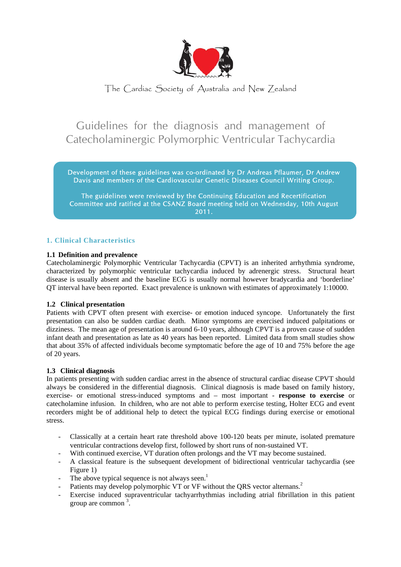

## The Cardiac Society of Australia and New Zealand

# Guidelines for the diagnosis and management of Catecholaminergic Polymorphic Ventricular Tachycardia

Development of these guidelines was co-ordinated by Dr Andreas Pflaumer, Dr Andrew Davis and members of the Cardiovascular Genetic Diseases Council Writing Group.

The guidelines were reviewed by the Continuing Education and Recertification Committee and ratified at the CSANZ Board meeting held on Wednesday, 10th August 2011.

## **1. Clinical Characteristics**

## **1.1 Definition and prevalence**

Catecholaminergic Polymorphic Ventricular Tachycardia (CPVT) is an inherited arrhythmia syndrome, characterized by polymorphic ventricular tachycardia induced by adrenergic stress. Structural heart disease is usually absent and the baseline ECG is usually normal however bradycardia and 'borderline' QT interval have been reported. Exact prevalence is unknown with estimates of approximately 1:10000.

## **1.2 Clinical presentation**

Patients with CPVT often present with exercise- or emotion induced syncope. Unfortunately the first presentation can also be sudden cardiac death. Minor symptoms are exercised induced palpitations or dizziness. The mean age of presentation is around 6-10 years, although CPVT is a proven cause of sudden infant death and presentation as late as 40 years has been reported. Limited data from small studies show that about 35% of affected individuals become symptomatic before the age of 10 and 75% before the age of 20 years.

## **1.3 Clinical diagnosis**

In patients presenting with sudden cardiac arrest in the absence of structural cardiac disease CPVT should always be considered in the differential diagnosis. Clinical diagnosis is made based on family history, exercise- or emotional stress-induced symptoms and – most important - **response to exercise** or catecholamine infusion. In children, who are not able to perform exercise testing, Holter ECG and event recorders might be of additional help to detect the typical ECG findings during exercise or emotional stress.

- Classically at a certain heart rate threshold above 100-120 beats per minute, isolated premature ventricular contractions develop first, followed by short runs of non-sustained VT.
- With continued exercise, VT duration often prolongs and the VT may become sustained.
- A classical feature is the subsequent development of bidirectional ventricular tachycardia (see Figure 1)
- The above typical sequence is not always seen.<sup>1</sup>
- Patients may develop polymorphic VT or VF without the QRS vector alternans.<sup>2</sup>
- Exercise induced supraventricular tachyarrhythmias including atrial fibrillation in this patient group are common <sup>3</sup>.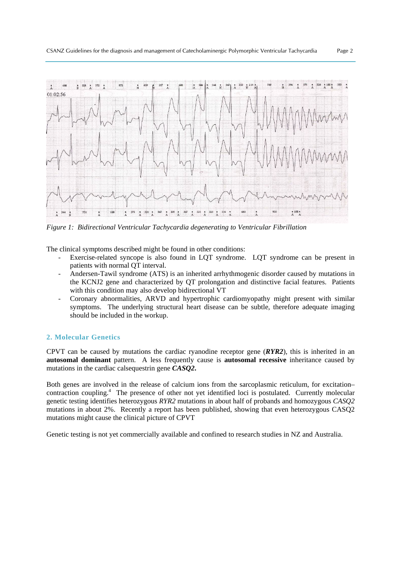

*Figure 1: Bidirectional Ventricular Tachycardia degenerating to Ventricular Fibrillation* 

The clinical symptoms described might be found in other conditions:

- Exercise-related syncope is also found in LOT syndrome. LOT syndrome can be present in patients with normal QT interval.
- Andersen-Tawil syndrome (ATS) is an inherited arrhythmogenic disorder caused by mutations in the KCNJ2 gene and characterized by QT prolongation and distinctive facial features. Patients with this condition may also develop bidirectional VT
- Coronary abnormalities, ARVD and hypertrophic cardiomyopathy might present with similar symptoms. The underlying structural heart disease can be subtle, therefore adequate imaging should be included in the workup.

## **2. Molecular Genetics**

CPVT can be caused by mutations the cardiac ryanodine receptor gene (*RYR2*), this is inherited in an **autosomal dominant** pattern. A less frequently cause is **autosomal recessive** inheritance caused by mutations in the cardiac calsequestrin gene *CASQ2***.** 

Both genes are involved in the release of calcium ions from the sarcoplasmic reticulum, for excitation– contraction coupling.<sup>4</sup> The presence of other not yet identified loci is postulated. Currently molecular genetic testing identifies heterozygous *RYR2* mutations in about half of probands and homozygous *CASQ2* mutations in about 2%. Recently a report has been published, showing that even heterozygous CASQ2 mutations might cause the clinical picture of CPVT

Genetic testing is not yet commercially available and confined to research studies in NZ and Australia.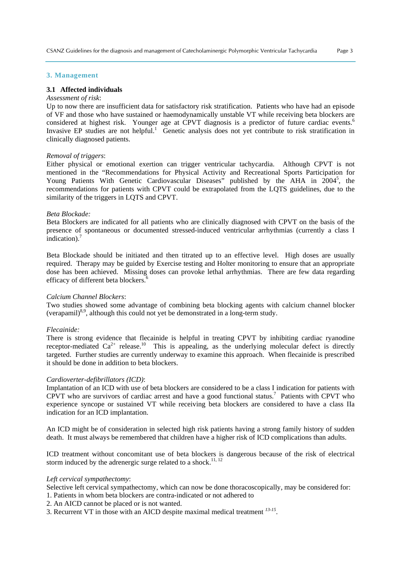#### **3. Management**

#### **3.1 Affected individuals**

#### *Assessment of risk*:

Up to now there are insufficient data for satisfactory risk stratification. Patients who have had an episode of VF and those who have sustained or haemodynamically unstable VT while receiving beta blockers are considered at highest risk. Younger age at CPVT diagnosis is a predictor of future cardiac events.<sup>6</sup> Invasive EP studies are not helpful.<sup>1</sup> Genetic analysis does not yet contribute to risk stratification in clinically diagnosed patients.

#### *Removal of triggers*:

Either physical or emotional exertion can trigger ventricular tachycardia. Although CPVT is not mentioned in the "Recommendations for Physical Activity and Recreational Sports Participation for Young Patients With Genetic Cardiovascular Diseases" published by the AHA in 2004<sup>5</sup>, the recommendations for patients with CPVT could be extrapolated from the LQTS guidelines, due to the similarity of the triggers in LOTS and CPVT.

#### *Beta Blockade:*

Beta Blockers are indicated for all patients who are clinically diagnosed with CPVT on the basis of the presence of spontaneous or documented stressed-induced ventricular arrhythmias (currently a class I indication).<sup>7</sup>

Beta Blockade should be initiated and then titrated up to an effective level. High doses are usually required. Therapy may be guided by Exercise testing and Holter monitoring to ensure that an appropriate dose has been achieved. Missing doses can provoke lethal arrhythmias. There are few data regarding efficacy of different beta blockers.<sup>6</sup>

#### *Calcium Channel Blockers*:

Two studies showed some advantage of combining beta blocking agents with calcium channel blocker (verapamil) $8,9$ , although this could not yet be demonstrated in a long-term study.

### *Flecainide:*

There is strong evidence that flecainide is helpful in treating CPVT by inhibiting cardiac ryanodine receptor-mediated  $Ca^{2+}$  release.<sup>10</sup> This is appealing, as the underlying molecular defect is directly targeted. Further studies are currently underway to examine this approach. When flecainide is prescribed it should be done in addition to beta blockers.

#### *Cardioverter-defibrillators (ICD)*:

Implantation of an ICD with use of beta blockers are considered to be a class I indication for patients with CPVT who are survivors of cardiac arrest and have a good functional status.<sup>7</sup> Patients with CPVT who experience syncope or sustained VT while receiving beta blockers are considered to have a class IIa indication for an ICD implantation.

An ICD might be of consideration in selected high risk patients having a strong family history of sudden death. It must always be remembered that children have a higher risk of ICD complications than adults.

ICD treatment without concomitant use of beta blockers is dangerous because of the risk of electrical storm induced by the adrenergic surge related to a shock.<sup>11, 12</sup>

## *Left cervical sympathectomy*:

Selective left cervical sympathectomy, which can now be done thoracoscopically, may be considered for: 1. Patients in whom beta blockers are contra-indicated or not adhered to

2. An AICD cannot be placed or is not wanted.

3. Recurrent VT in those with an AICD despite maximal medical treatment *13-15*.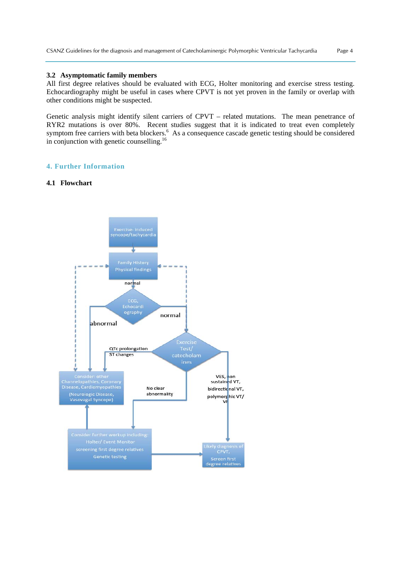#### **3.2 Asymptomatic family members**

All first degree relatives should be evaluated with ECG, Holter monitoring and exercise stress testing. Echocardiography might be useful in cases where CPVT is not yet proven in the family or overlap with other conditions might be suspected.

Genetic analysis might identify silent carriers of CPVT – related mutations. The mean penetrance of RYR2 mutations is over 80%. Recent studies suggest that it is indicated to treat even completely symptom free carriers with beta blockers.<sup>6</sup> As a consequence cascade genetic testing should be considered in conjunction with genetic counselling.<sup>16</sup>

## **4. Further Information**

#### **4.1 Flowchart**

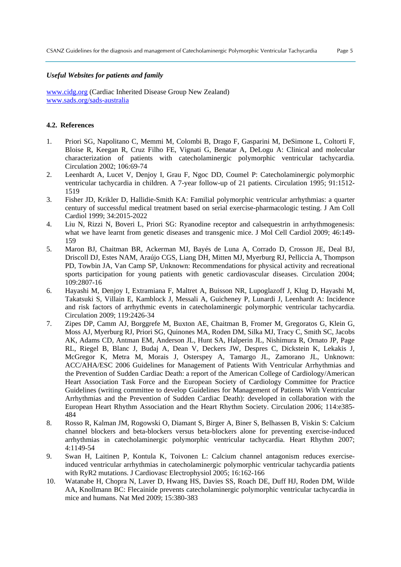#### *Useful Websites for patients and family*

www.cidg.org (Cardiac Inherited Disease Group New Zealand) www.sads.org/sads-australia

#### **4.2. References**

- 1. Priori SG, Napolitano C, Memmi M, Colombi B, Drago F, Gasparini M, DeSimone L, Coltorti F, Bloise R, Keegan R, Cruz Filho FE, Vignati G, Benatar A, DeLogu A: Clinical and molecular characterization of patients with catecholaminergic polymorphic ventricular tachycardia. Circulation 2002; 106:69-74
- 2. Leenhardt A, Lucet V, Denjoy I, Grau F, Ngoc DD, Coumel P: Catecholaminergic polymorphic ventricular tachycardia in children. A 7-year follow-up of 21 patients. Circulation 1995; 91:1512- 1519
- 3. Fisher JD, Krikler D, Hallidie-Smith KA: Familial polymorphic ventricular arrhythmias: a quarter century of successful medical treatment based on serial exercise-pharmacologic testing. J Am Coll Cardiol 1999; 34:2015-2022
- 4. Liu N, Rizzi N, Boveri L, Priori SG: Ryanodine receptor and calsequestrin in arrhythmogenesis: what we have learnt from genetic diseases and transgenic mice. J Mol Cell Cardiol 2009; 46:149- 159
- 5. Maron BJ, Chaitman BR, Ackerman MJ, Bayés de Luna A, Corrado D, Crosson JE, Deal BJ, Driscoll DJ, Estes NAM, Araújo CGS, Liang DH, Mitten MJ, Myerburg RJ, Pelliccia A, Thompson PD, Towbin JA, Van Camp SP, Unknown: Recommendations for physical activity and recreational sports participation for young patients with genetic cardiovascular diseases. Circulation 2004; 109:2807-16
- 6. Hayashi M, Denjoy I, Extramiana F, Maltret A, Buisson NR, Lupoglazoff J, Klug D, Hayashi M, Takatsuki S, Villain E, Kamblock J, Messali A, Guicheney P, Lunardi J, Leenhardt A: Incidence and risk factors of arrhythmic events in catecholaminergic polymorphic ventricular tachycardia. Circulation 2009; 119:2426-34
- 7. Zipes DP, Camm AJ, Borggrefe M, Buxton AE, Chaitman B, Fromer M, Gregoratos G, Klein G, Moss AJ, Myerburg RJ, Priori SG, Quinones MA, Roden DM, Silka MJ, Tracy C, Smith SC, Jacobs AK, Adams CD, Antman EM, Anderson JL, Hunt SA, Halperin JL, Nishimura R, Ornato JP, Page RL, Riegel B, Blanc J, Budaj A, Dean V, Deckers JW, Despres C, Dickstein K, Lekakis J, McGregor K, Metra M, Morais J, Osterspey A, Tamargo JL, Zamorano JL, Unknown: ACC/AHA/ESC 2006 Guidelines for Management of Patients With Ventricular Arrhythmias and the Prevention of Sudden Cardiac Death: a report of the American College of Cardiology/American Heart Association Task Force and the European Society of Cardiology Committee for Practice Guidelines (writing committee to develop Guidelines for Management of Patients With Ventricular Arrhythmias and the Prevention of Sudden Cardiac Death): developed in collaboration with the European Heart Rhythm Association and the Heart Rhythm Society. Circulation 2006; 114:e385- 484
- 8. Rosso R, Kalman JM, Rogowski O, Diamant S, Birger A, Biner S, Belhassen B, Viskin S: Calcium channel blockers and beta-blockers versus beta-blockers alone for preventing exercise-induced arrhythmias in catecholaminergic polymorphic ventricular tachycardia. Heart Rhythm 2007; 4:1149-54
- 9. Swan H, Laitinen P, Kontula K, Toivonen L: Calcium channel antagonism reduces exerciseinduced ventricular arrhythmias in catecholaminergic polymorphic ventricular tachycardia patients with RyR2 mutations. J Cardiovasc Electrophysiol 2005; 16:162-166
- 10. Watanabe H, Chopra N, Laver D, Hwang HS, Davies SS, Roach DE, Duff HJ, Roden DM, Wilde AA, Knollmann BC: Flecainide prevents catecholaminergic polymorphic ventricular tachycardia in mice and humans. Nat Med 2009; 15:380-383